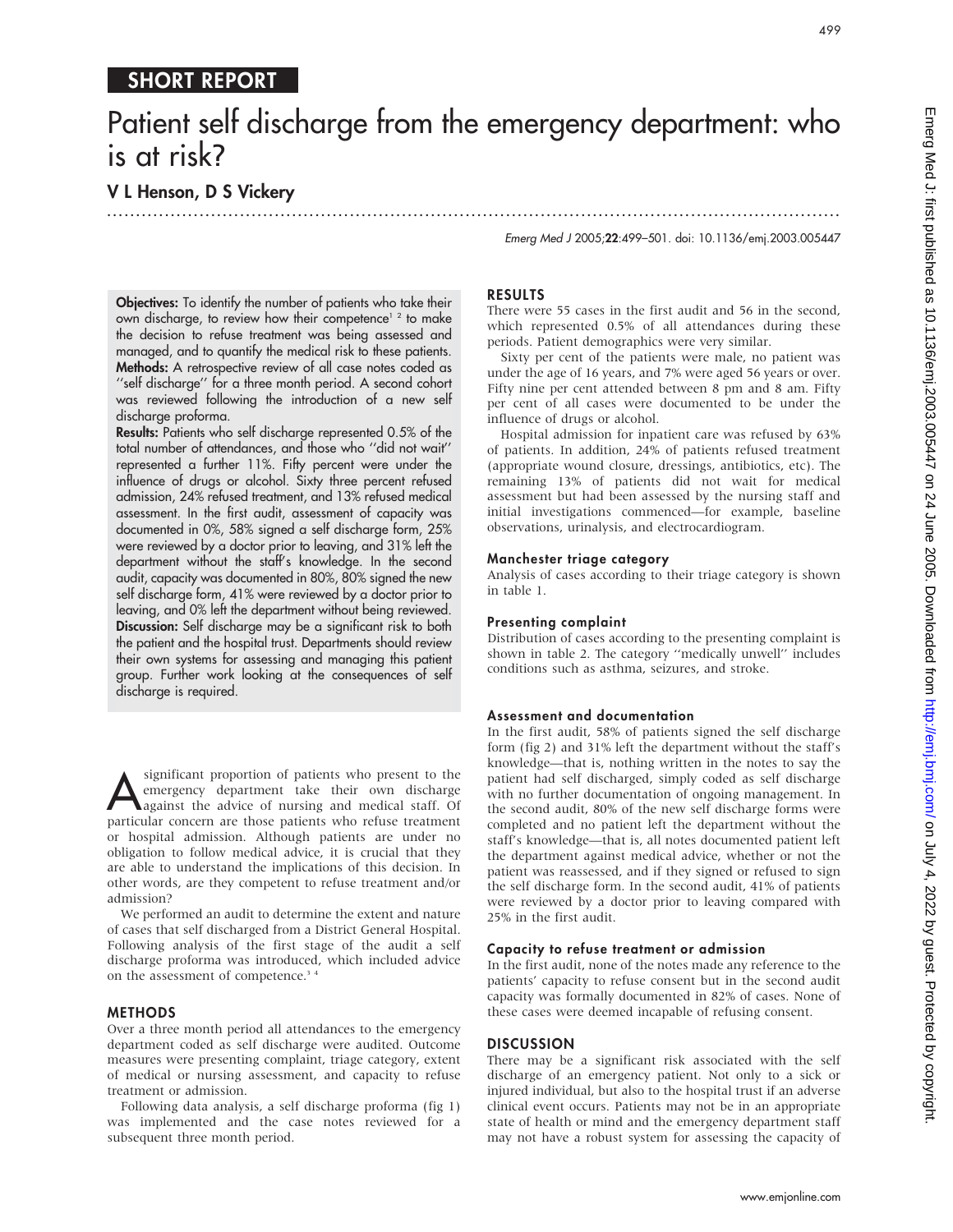# SHORT REPORT

# Patient self discharge from the emergency department: who is at risk?

...............................................................................................................................

# V L Henson, D S Vickery

Emerg Med J 2005;22:499–501. doi: 10.1136/emj.2003.005447

Objectives: To identify the number of patients who take their own discharge, to review how their competence<sup>12</sup> to make the decision to refuse treatment was being assessed and managed, and to quantify the medical risk to these patients. Methods: A retrospective review of all case notes coded as ''self discharge'' for a three month period. A second cohort was reviewed following the introduction of a new self discharge proforma.

Results: Patients who self discharge represented 0.5% of the total number of attendances, and those who ''did not wait'' represented a further 11%. Fifty percent were under the influence of drugs or alcohol. Sixty three percent refused admission, 24% refused treatment, and 13% refused medical assessment. In the first audit, assessment of capacity was documented in 0%, 58% signed a self discharge form, 25% were reviewed by a doctor prior to leaving, and 31% left the department without the staff's knowledge. In the second audit, capacity was documented in 80%, 80% signed the new self discharge form, 41% were reviewed by a doctor prior to leaving, and 0% left the department without being reviewed. Discussion: Self discharge may be a significant risk to both the patient and the hospital trust. Departments should review their own systems for assessing and managing this patient group. Further work looking at the consequences of self discharge is required.

Significant proportion of patients who present to the<br>emergency department take their own discharge<br>against the advice of nursing and medical staff. Of emergency department take their own discharge against the advice of nursing and medical staff. Of particular concern are those patients who refuse treatment or hospital admission. Although patients are under no obligation to follow medical advice, it is crucial that they are able to understand the implications of this decision. In other words, are they competent to refuse treatment and/or admission?

We performed an audit to determine the extent and nature of cases that self discharged from a District General Hospital. Following analysis of the first stage of the audit a self discharge proforma was introduced, which included advice on the assessment of competence.<sup>34</sup>

#### **METHODS**

Over a three month period all attendances to the emergency department coded as self discharge were audited. Outcome measures were presenting complaint, triage category, extent of medical or nursing assessment, and capacity to refuse treatment or admission.

Following data analysis, a self discharge proforma (fig 1) was implemented and the case notes reviewed for a subsequent three month period.

#### RESULTS

There were 55 cases in the first audit and 56 in the second, which represented 0.5% of all attendances during these periods. Patient demographics were very similar.

Sixty per cent of the patients were male, no patient was under the age of 16 years, and 7% were aged 56 years or over. Fifty nine per cent attended between 8 pm and 8 am. Fifty per cent of all cases were documented to be under the influence of drugs or alcohol.

Hospital admission for inpatient care was refused by 63% of patients. In addition, 24% of patients refused treatment (appropriate wound closure, dressings, antibiotics, etc). The remaining 13% of patients did not wait for medical assessment but had been assessed by the nursing staff and initial investigations commenced—for example, baseline observations, urinalysis, and electrocardiogram.

#### Manchester triage category

Analysis of cases according to their triage category is shown in table 1.

#### Presenting complaint

Distribution of cases according to the presenting complaint is shown in table 2. The category ''medically unwell'' includes conditions such as asthma, seizures, and stroke.

#### Assessment and documentation

In the first audit, 58% of patients signed the self discharge form (fig 2) and 31% left the department without the staff's knowledge—that is, nothing written in the notes to say the patient had self discharged, simply coded as self discharge with no further documentation of ongoing management. In the second audit, 80% of the new self discharge forms were completed and no patient left the department without the staff's knowledge—that is, all notes documented patient left the department against medical advice, whether or not the patient was reassessed, and if they signed or refused to sign the self discharge form. In the second audit, 41% of patients were reviewed by a doctor prior to leaving compared with 25% in the first audit.

#### Capacity to refuse treatment or admission

In the first audit, none of the notes made any reference to the patients' capacity to refuse consent but in the second audit capacity was formally documented in 82% of cases. None of these cases were deemed incapable of refusing consent.

#### **DISCUSSION**

There may be a significant risk associated with the self discharge of an emergency patient. Not only to a sick or injured individual, but also to the hospital trust if an adverse clinical event occurs. Patients may not be in an appropriate state of health or mind and the emergency department staff may not have a robust system for assessing the capacity of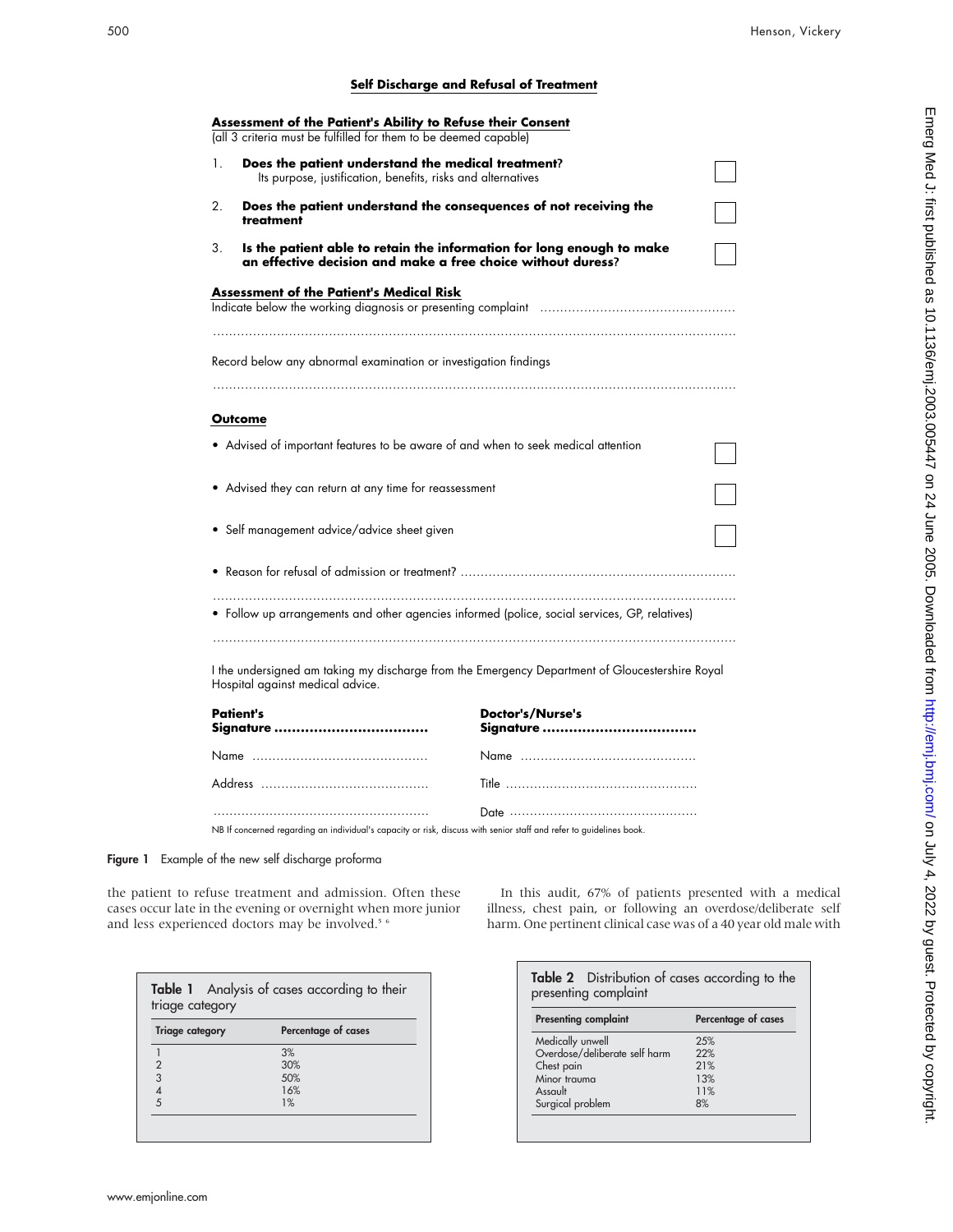### **Self Discharge and Refusal of Treatment**

| Assessment of the Patient's Ability to Refuse their Consent<br>(all 3 criteria must be fulfilled for them to be deemed capable)             |                  |
|---------------------------------------------------------------------------------------------------------------------------------------------|------------------|
| Does the patient understand the medical treatment?<br>1.<br>Its purpose, justification, benefits, risks and alternatives                    |                  |
| Does the patient understand the consequences of not receiving the<br>2.<br>treatment                                                        |                  |
| Is the patient able to retain the information for long enough to make<br>3.<br>an effective decision and make a free choice without duress? |                  |
| <b>Assessment of the Patient's Medical Risk</b>                                                                                             |                  |
| Record below any abnormal examination or investigation findings                                                                             |                  |
| Outcome                                                                                                                                     |                  |
| • Advised of important features to be aware of and when to seek medical attention                                                           |                  |
| • Advised they can return at any time for reassessment                                                                                      |                  |
| • Self management advice/advice sheet given                                                                                                 |                  |
| .                                                                                                                                           |                  |
| • Follow up arrangements and other agencies informed (police, social services, GP, relatives)                                               |                  |
| I the undersigned am taking my discharge from the Emergency Department of Gloucestershire Royal<br>Hospital against medical advice.         |                  |
| <b>Patient's</b>                                                                                                                            | Doctor's/Nurse's |
|                                                                                                                                             |                  |
|                                                                                                                                             |                  |
|                                                                                                                                             |                  |

NB If concerned regarding an individual's capacity or risk, discuss with senior staff and refer to guidelines book.

Figure 1 Example of the new self discharge proforma

the patient to refuse treatment and admission. Often these cases occur late in the evening or overnight when more junior and less experienced doctors may be involved.<sup>5 6</sup>

| triage category        | Table 1 Analysis of cases according to their |
|------------------------|----------------------------------------------|
| <b>Triage category</b> | Percentage of cases                          |
|                        | 3%                                           |
| $\overline{2}$         | 30%                                          |
| 3                      | 50%                                          |
|                        | 16%                                          |
| 5                      | 1%                                           |

In this audit, 67% of patients presented with a medical illness, chest pain, or following an overdose/deliberate self harm. One pertinent clinical case was of a 40 year old male with

| Table 2 Distribution of cases according to the<br>presenting complaint |                     |
|------------------------------------------------------------------------|---------------------|
| <b>Presenting complaint</b>                                            | Percentage of cases |
| Medically unwell                                                       | 2.5%                |
| Overdose/deliberate self harm                                          | 22%                 |
| Chest pain                                                             | 21%                 |
| Minor trauma                                                           | 13%                 |
| Assault                                                                | 11%                 |
| Surgical problem                                                       | 8%                  |